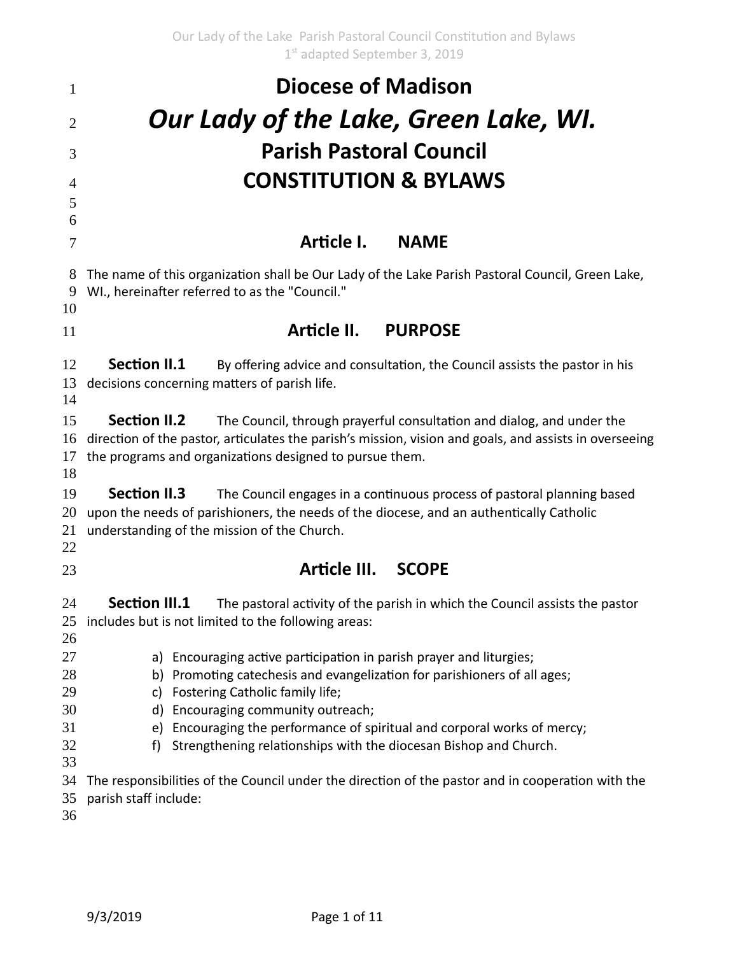| $\mathbf{1}$             | <b>Diocese of Madison</b><br>Our Lady of the Lake, Green Lake, WI.                                                                                                                                                                                                |  |  |
|--------------------------|-------------------------------------------------------------------------------------------------------------------------------------------------------------------------------------------------------------------------------------------------------------------|--|--|
| 2                        |                                                                                                                                                                                                                                                                   |  |  |
| 3                        | <b>Parish Pastoral Council</b>                                                                                                                                                                                                                                    |  |  |
| $\overline{4}$<br>5<br>6 | <b>CONSTITUTION &amp; BYLAWS</b>                                                                                                                                                                                                                                  |  |  |
| 7                        | Article I.<br><b>NAME</b>                                                                                                                                                                                                                                         |  |  |
| 8<br>9<br>10             | The name of this organization shall be Our Lady of the Lake Parish Pastoral Council, Green Lake,<br>WI., hereinafter referred to as the "Council."                                                                                                                |  |  |
| 11                       | Article II.<br><b>PURPOSE</b>                                                                                                                                                                                                                                     |  |  |
| 12<br>13<br>14           | <b>Section II.1</b><br>By offering advice and consultation, the Council assists the pastor in his<br>decisions concerning matters of parish life.                                                                                                                 |  |  |
| 15<br>16<br>17<br>18     | <b>Section II.2</b><br>The Council, through prayerful consultation and dialog, and under the<br>direction of the pastor, articulates the parish's mission, vision and goals, and assists in overseeing<br>the programs and organizations designed to pursue them. |  |  |
| 19<br>20<br>21<br>22     | <b>Section II.3</b><br>The Council engages in a continuous process of pastoral planning based<br>upon the needs of parishioners, the needs of the diocese, and an authentically Catholic<br>understanding of the mission of the Church.                           |  |  |
| 23                       | Article III. SCOPE                                                                                                                                                                                                                                                |  |  |
| 24<br>26                 | <b>Section III.1</b><br>The pastoral activity of the parish in which the Council assists the pastor<br>25 includes but is not limited to the following areas:                                                                                                     |  |  |
| 27<br>28<br>29<br>30     | a) Encouraging active participation in parish prayer and liturgies;<br>b) Promoting catechesis and evangelization for parishioners of all ages;<br>Fostering Catholic family life;<br>c)<br>Encouraging community outreach;<br>d)                                 |  |  |
| 31<br>32<br>33           | Encouraging the performance of spiritual and corporal works of mercy;<br>e)<br>Strengthening relationships with the diocesan Bishop and Church.<br>f                                                                                                              |  |  |
| 34<br>35<br>36           | The responsibilities of the Council under the direction of the pastor and in cooperation with the<br>parish staff include:                                                                                                                                        |  |  |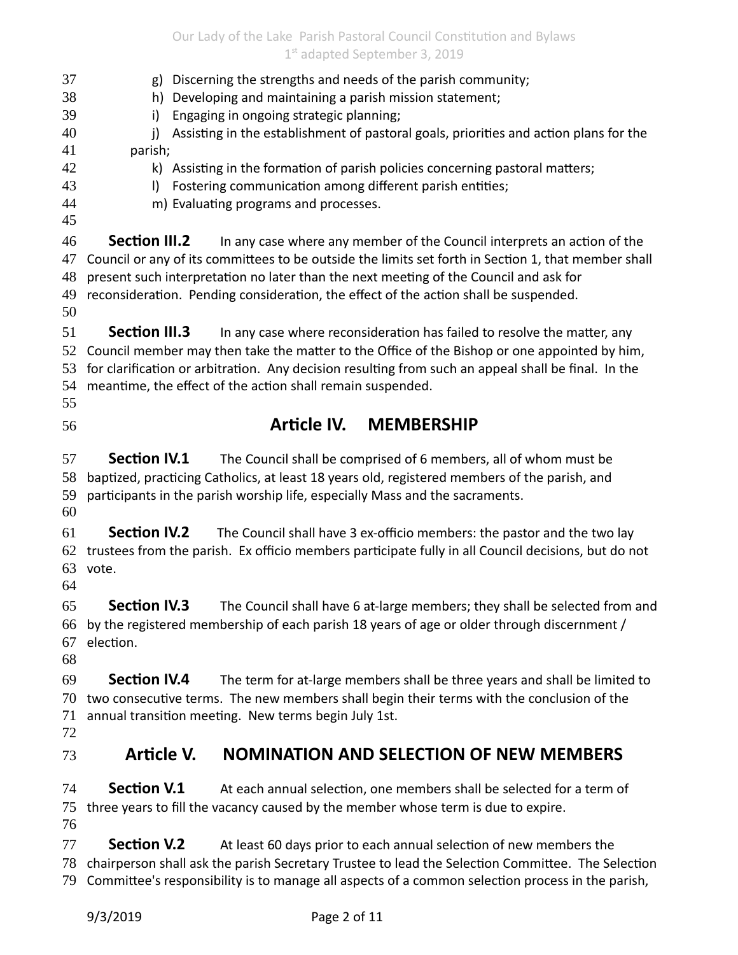Our Lady of the Lake Parish Pastoral Council Constitution and Bylaws 1st adapted September 3, 2019

| 37<br>38<br>39<br>40<br>41<br>42<br>43<br>44<br>45 | Discerning the strengths and needs of the parish community;<br>g)<br>Developing and maintaining a parish mission statement;<br>h)<br>Engaging in ongoing strategic planning;<br>i)<br>Assisting in the establishment of pastoral goals, priorities and action plans for the<br>j)<br>parish;<br>k) Assisting in the formation of parish policies concerning pastoral matters;<br>Fostering communication among different parish entities;<br>$\vert$<br>m) Evaluating programs and processes. |  |  |
|----------------------------------------------------|-----------------------------------------------------------------------------------------------------------------------------------------------------------------------------------------------------------------------------------------------------------------------------------------------------------------------------------------------------------------------------------------------------------------------------------------------------------------------------------------------|--|--|
| 46                                                 | <b>Section III.2</b>                                                                                                                                                                                                                                                                                                                                                                                                                                                                          |  |  |
| 47                                                 | In any case where any member of the Council interprets an action of the                                                                                                                                                                                                                                                                                                                                                                                                                       |  |  |
| 48                                                 | Council or any of its committees to be outside the limits set forth in Section 1, that member shall                                                                                                                                                                                                                                                                                                                                                                                           |  |  |
| 49                                                 | present such interpretation no later than the next meeting of the Council and ask for                                                                                                                                                                                                                                                                                                                                                                                                         |  |  |
| 50                                                 | reconsideration. Pending consideration, the effect of the action shall be suspended.                                                                                                                                                                                                                                                                                                                                                                                                          |  |  |
| 51                                                 | <b>Section III.3</b>                                                                                                                                                                                                                                                                                                                                                                                                                                                                          |  |  |
| 52                                                 | In any case where reconsideration has failed to resolve the matter, any                                                                                                                                                                                                                                                                                                                                                                                                                       |  |  |
| 53                                                 | Council member may then take the matter to the Office of the Bishop or one appointed by him,                                                                                                                                                                                                                                                                                                                                                                                                  |  |  |
| 54                                                 | for clarification or arbitration. Any decision resulting from such an appeal shall be final. In the                                                                                                                                                                                                                                                                                                                                                                                           |  |  |
| 55                                                 | meantime, the effect of the action shall remain suspended.                                                                                                                                                                                                                                                                                                                                                                                                                                    |  |  |
| 56                                                 | Article IV.<br><b>MEMBERSHIP</b>                                                                                                                                                                                                                                                                                                                                                                                                                                                              |  |  |
| 57                                                 | <b>Section IV.1</b>                                                                                                                                                                                                                                                                                                                                                                                                                                                                           |  |  |
| 58                                                 | The Council shall be comprised of 6 members, all of whom must be                                                                                                                                                                                                                                                                                                                                                                                                                              |  |  |
| 59                                                 | baptized, practicing Catholics, at least 18 years old, registered members of the parish, and                                                                                                                                                                                                                                                                                                                                                                                                  |  |  |
| 60                                                 | participants in the parish worship life, especially Mass and the sacraments.                                                                                                                                                                                                                                                                                                                                                                                                                  |  |  |
| 61                                                 | <b>Section IV.2</b>                                                                                                                                                                                                                                                                                                                                                                                                                                                                           |  |  |
| 62                                                 | The Council shall have 3 ex-officio members: the pastor and the two lay                                                                                                                                                                                                                                                                                                                                                                                                                       |  |  |
| 63                                                 | trustees from the parish. Ex officio members participate fully in all Council decisions, but do not                                                                                                                                                                                                                                                                                                                                                                                           |  |  |
| 64                                                 | vote.                                                                                                                                                                                                                                                                                                                                                                                                                                                                                         |  |  |
| 65                                                 | <b>Section IV.3</b>                                                                                                                                                                                                                                                                                                                                                                                                                                                                           |  |  |
| 66                                                 | The Council shall have 6 at-large members; they shall be selected from and                                                                                                                                                                                                                                                                                                                                                                                                                    |  |  |
| 67                                                 | by the registered membership of each parish 18 years of age or older through discernment /                                                                                                                                                                                                                                                                                                                                                                                                    |  |  |
| 68                                                 | election.                                                                                                                                                                                                                                                                                                                                                                                                                                                                                     |  |  |
| 69                                                 | <b>Section IV.4</b>                                                                                                                                                                                                                                                                                                                                                                                                                                                                           |  |  |
| 70                                                 | The term for at-large members shall be three years and shall be limited to                                                                                                                                                                                                                                                                                                                                                                                                                    |  |  |
| 71                                                 | two consecutive terms. The new members shall begin their terms with the conclusion of the                                                                                                                                                                                                                                                                                                                                                                                                     |  |  |
| 72                                                 | annual transition meeting. New terms begin July 1st.                                                                                                                                                                                                                                                                                                                                                                                                                                          |  |  |
| 73                                                 | Article V.<br><b>NOMINATION AND SELECTION OF NEW MEMBERS</b>                                                                                                                                                                                                                                                                                                                                                                                                                                  |  |  |
| 74                                                 | <b>Section V.1</b>                                                                                                                                                                                                                                                                                                                                                                                                                                                                            |  |  |
| 75                                                 | At each annual selection, one members shall be selected for a term of                                                                                                                                                                                                                                                                                                                                                                                                                         |  |  |
| 76                                                 | three years to fill the vacancy caused by the member whose term is due to expire.                                                                                                                                                                                                                                                                                                                                                                                                             |  |  |
| 77<br>78                                           | <b>Section V.2</b><br>At least 60 days prior to each annual selection of new members the<br>chairperson shall ask the parish Secretary Trustee to lead the Selection Committee. The Selection                                                                                                                                                                                                                                                                                                 |  |  |

79 Committee's responsibility is to manage all aspects of a common selection process in the parish,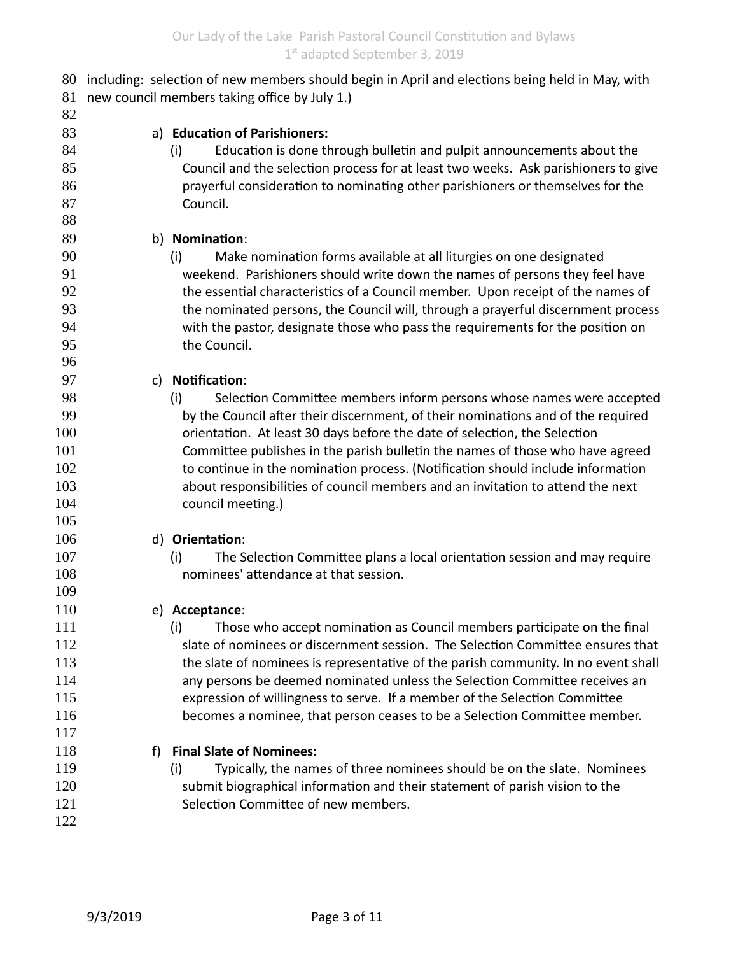| 80  | including: selection of new members should begin in April and elections being held in May, with |                                                                                    |  |
|-----|-------------------------------------------------------------------------------------------------|------------------------------------------------------------------------------------|--|
| 81  | new council members taking office by July 1.)                                                   |                                                                                    |  |
| 82  |                                                                                                 |                                                                                    |  |
| 83  |                                                                                                 | a) Education of Parishioners:                                                      |  |
| 84  |                                                                                                 | Education is done through bulletin and pulpit announcements about the<br>(i)       |  |
| 85  |                                                                                                 | Council and the selection process for at least two weeks. Ask parishioners to give |  |
| 86  |                                                                                                 | prayerful consideration to nominating other parishioners or themselves for the     |  |
| 87  |                                                                                                 | Council.                                                                           |  |
| 88  |                                                                                                 |                                                                                    |  |
| 89  |                                                                                                 | b) Nomination:                                                                     |  |
| 90  |                                                                                                 | Make nomination forms available at all liturgies on one designated<br>(i)          |  |
| 91  |                                                                                                 | weekend. Parishioners should write down the names of persons they feel have        |  |
| 92  |                                                                                                 | the essential characteristics of a Council member. Upon receipt of the names of    |  |
| 93  |                                                                                                 | the nominated persons, the Council will, through a prayerful discernment process   |  |
| 94  |                                                                                                 | with the pastor, designate those who pass the requirements for the position on     |  |
| 95  |                                                                                                 | the Council.                                                                       |  |
| 96  |                                                                                                 |                                                                                    |  |
| 97  |                                                                                                 | c) Notification:                                                                   |  |
| 98  |                                                                                                 | Selection Committee members inform persons whose names were accepted<br>(i)        |  |
| 99  |                                                                                                 | by the Council after their discernment, of their nominations and of the required   |  |
| 100 |                                                                                                 | orientation. At least 30 days before the date of selection, the Selection          |  |
| 101 |                                                                                                 | Committee publishes in the parish bulletin the names of those who have agreed      |  |
| 102 |                                                                                                 | to continue in the nomination process. (Notification should include information    |  |
| 103 |                                                                                                 | about responsibilities of council members and an invitation to attend the next     |  |
| 104 |                                                                                                 | council meeting.)                                                                  |  |
| 105 |                                                                                                 |                                                                                    |  |
| 106 |                                                                                                 | d) Orientation:                                                                    |  |
| 107 |                                                                                                 | The Selection Committee plans a local orientation session and may require<br>(i)   |  |
| 108 |                                                                                                 | nominees' attendance at that session.                                              |  |
| 109 |                                                                                                 |                                                                                    |  |
| 110 |                                                                                                 | e) Acceptance:                                                                     |  |
| 111 |                                                                                                 | Those who accept nomination as Council members participate on the final<br>(i)     |  |
| 112 |                                                                                                 | slate of nominees or discernment session. The Selection Committee ensures that     |  |
| 113 |                                                                                                 | the slate of nominees is representative of the parish community. In no event shall |  |
| 114 |                                                                                                 | any persons be deemed nominated unless the Selection Committee receives an         |  |
| 115 |                                                                                                 | expression of willingness to serve. If a member of the Selection Committee         |  |
| 116 |                                                                                                 | becomes a nominee, that person ceases to be a Selection Committee member.          |  |
| 117 |                                                                                                 |                                                                                    |  |
| 118 | f)                                                                                              | <b>Final Slate of Nominees:</b>                                                    |  |
| 119 |                                                                                                 | Typically, the names of three nominees should be on the slate. Nominees<br>(i)     |  |
| 120 |                                                                                                 | submit biographical information and their statement of parish vision to the        |  |
| 121 |                                                                                                 | Selection Committee of new members.                                                |  |
| 122 |                                                                                                 |                                                                                    |  |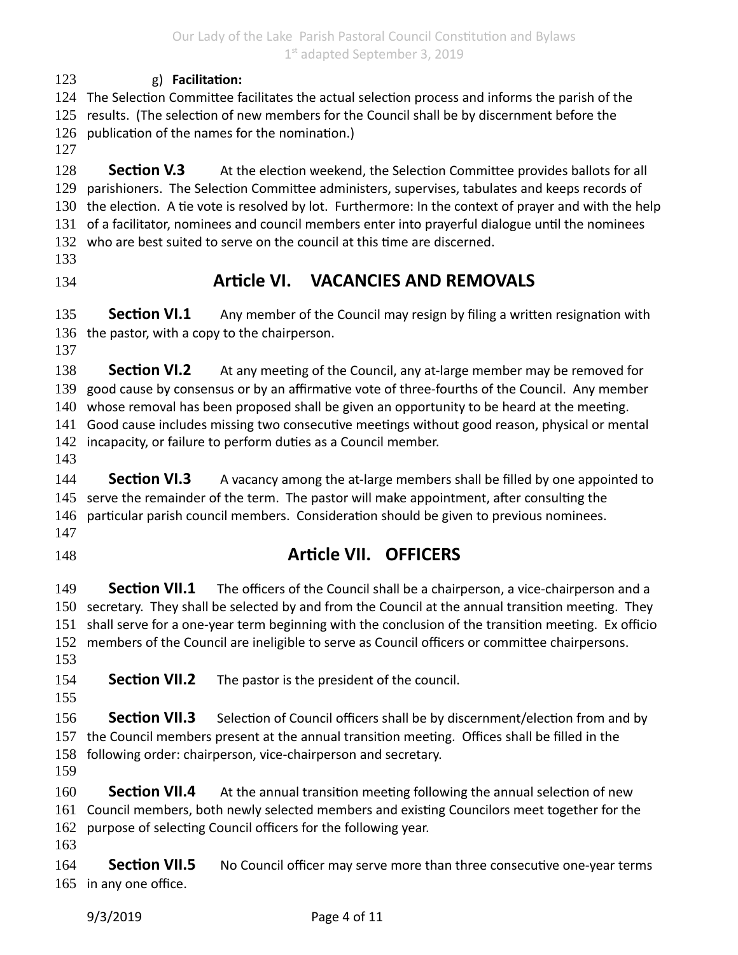g) **Facilitation:** 123

124 The Selection Committee facilitates the actual selection process and informs the parish of the 125 results. (The selection of new members for the Council shall be by discernment before the 126 publication of the names for the nomination.)

127

**Section V.3** At the election weekend, the Selection Committee provides ballots for all 129 parishioners. The Selection Committee administers, supervises, tabulates and keeps records of 130 the election. A tie vote is resolved by lot. Furthermore: In the context of prayer and with the help 131 of a facilitator, nominees and council members enter into prayerful dialogue until the nominees 132 who are best suited to serve on the council at this time are discerned. 128 133

134

## **Article VI. VACANCIES AND REMOVALS**

**Section VI.1** Any member of the Council may resign by filing a written resignation with 136 the pastor, with a copy to the chairperson. 135

137

**Section VI.2** At any meeting of the Council, any at-large member may be removed for 139 good cause by consensus or by an affirmative vote of three-fourths of the Council. Any member 138

140 whose removal has been proposed shall be given an opportunity to be heard at the meeting.

141 Good cause includes missing two consecutive meetings without good reason, physical or mental

142 incapacity, or failure to perform duties as a Council member.

143

**Section VI.3** A vacancy among the at-large members shall be filled by one appointed to 145 serve the remainder of the term. The pastor will make appointment, after consulting the particular parish council members. Consideration should be given to previous nominees. 144 146 147

148

## **Article VII. OFFICERS**

**Section VII.1** The officers of the Council shall be a chairperson, a vice-chairperson and a 150 secretary. They shall be selected by and from the Council at the annual transition meeting. They 151 shall serve for a one-year term beginning with the conclusion of the transition meeting. Ex officio 152 members of the Council are ineligible to serve as Council officers or committee chairpersons. 149 153

**Section VII.2** The pastor is the president of the council. 154

155

**Section VII.3** Selection of Council officers shall be by discernment/election from and by 157 the Council members present at the annual transition meeting. Offices shall be filled in the 158 following order: chairperson, vice-chairperson and secretary. 156

159

**Section VII.4** At the annual transition meeting following the annual selection of new 161 Council members, both newly selected members and existing Councilors meet together for the 162 purpose of selecting Council officers for the following year. 160

163

**Section VII.5** No Council officer may serve more than three consecutive one-year terms 165 in any one office. 164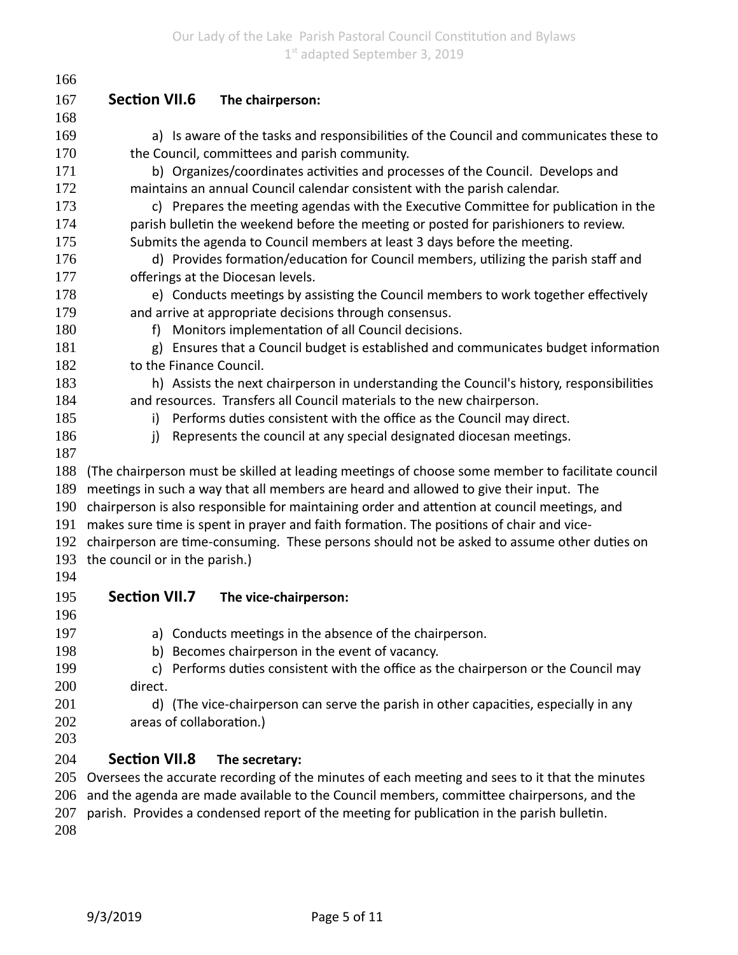| 166 |                                                                                                  |  |  |
|-----|--------------------------------------------------------------------------------------------------|--|--|
| 167 | <b>Section VII.6</b><br>The chairperson:                                                         |  |  |
| 168 |                                                                                                  |  |  |
| 169 | a) Is aware of the tasks and responsibilities of the Council and communicates these to           |  |  |
| 170 | the Council, committees and parish community.                                                    |  |  |
| 171 | b) Organizes/coordinates activities and processes of the Council. Develops and                   |  |  |
| 172 | maintains an annual Council calendar consistent with the parish calendar.                        |  |  |
| 173 | c) Prepares the meeting agendas with the Executive Committee for publication in the              |  |  |
| 174 | parish bulletin the weekend before the meeting or posted for parishioners to review.             |  |  |
| 175 | Submits the agenda to Council members at least 3 days before the meeting.                        |  |  |
| 176 | d) Provides formation/education for Council members, utilizing the parish staff and              |  |  |
| 177 | offerings at the Diocesan levels.                                                                |  |  |
| 178 | e) Conducts meetings by assisting the Council members to work together effectively               |  |  |
| 179 | and arrive at appropriate decisions through consensus.                                           |  |  |
| 180 | Monitors implementation of all Council decisions.<br>f)                                          |  |  |
| 181 | Ensures that a Council budget is established and communicates budget information                 |  |  |
| 182 | to the Finance Council.                                                                          |  |  |
| 183 | h) Assists the next chairperson in understanding the Council's history, responsibilities         |  |  |
| 184 | and resources. Transfers all Council materials to the new chairperson.                           |  |  |
| 185 | Performs duties consistent with the office as the Council may direct.<br>i)                      |  |  |
| 186 | Represents the council at any special designated diocesan meetings.<br>j)                        |  |  |
| 187 |                                                                                                  |  |  |
| 188 | (The chairperson must be skilled at leading meetings of choose some member to facilitate council |  |  |
| 189 | meetings in such a way that all members are heard and allowed to give their input. The           |  |  |
| 190 | chairperson is also responsible for maintaining order and attention at council meetings, and     |  |  |
| 191 | makes sure time is spent in prayer and faith formation. The positions of chair and vice-         |  |  |
| 192 | chairperson are time-consuming. These persons should not be asked to assume other duties on      |  |  |
| 193 | the council or in the parish.)                                                                   |  |  |
| 194 |                                                                                                  |  |  |
| 195 | <b>Section VII.7</b><br>The vice-chairperson:                                                    |  |  |
| 196 |                                                                                                  |  |  |
| 197 | a) Conducts meetings in the absence of the chairperson.                                          |  |  |
| 198 | Becomes chairperson in the event of vacancy.<br>b)                                               |  |  |
| 199 | Performs duties consistent with the office as the chairperson or the Council may<br>C)           |  |  |
| 200 | direct.                                                                                          |  |  |
| 201 | d) (The vice-chairperson can serve the parish in other capacities, especially in any             |  |  |
| 202 | areas of collaboration.)                                                                         |  |  |
| 203 |                                                                                                  |  |  |
| 204 | <b>Section VII.8</b><br>The secretary:                                                           |  |  |
| 205 | Oversees the accurate recording of the minutes of each meeting and sees to it that the minutes   |  |  |
| 206 | and the agenda are made available to the Council members, committee chairpersons, and the        |  |  |
| 207 | parish. Provides a condensed report of the meeting for publication in the parish bulletin.       |  |  |
| 208 |                                                                                                  |  |  |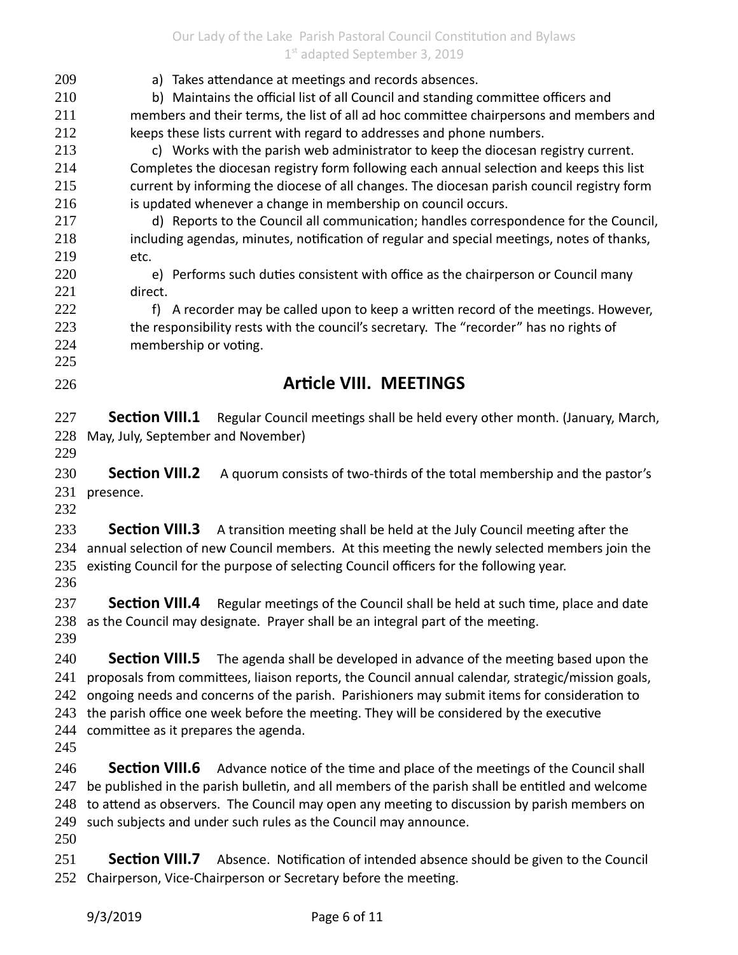Our Lady of the Lake Parish Pastoral Council Constitution and Bylaws 1st adapted September 3, 2019

| 209        | a) Takes attendance at meetings and records absences.                                                                                                       |  |  |
|------------|-------------------------------------------------------------------------------------------------------------------------------------------------------------|--|--|
| 210        | b) Maintains the official list of all Council and standing committee officers and                                                                           |  |  |
| 211        | members and their terms, the list of all ad hoc committee chairpersons and members and                                                                      |  |  |
| 212        | keeps these lists current with regard to addresses and phone numbers.                                                                                       |  |  |
| 213        | c) Works with the parish web administrator to keep the diocesan registry current.                                                                           |  |  |
| 214<br>215 | Completes the diocesan registry form following each annual selection and keeps this list                                                                    |  |  |
| 216        | current by informing the diocese of all changes. The diocesan parish council registry form<br>is updated whenever a change in membership on council occurs. |  |  |
| 217        | d) Reports to the Council all communication; handles correspondence for the Council,                                                                        |  |  |
| 218        | including agendas, minutes, notification of regular and special meetings, notes of thanks,                                                                  |  |  |
| 219        | etc.                                                                                                                                                        |  |  |
| 220        | e) Performs such duties consistent with office as the chairperson or Council many                                                                           |  |  |
| 221        | direct.                                                                                                                                                     |  |  |
| 222        | f) A recorder may be called upon to keep a written record of the meetings. However,                                                                         |  |  |
| 223        | the responsibility rests with the council's secretary. The "recorder" has no rights of                                                                      |  |  |
| 224        | membership or voting.                                                                                                                                       |  |  |
| 225        |                                                                                                                                                             |  |  |
| 226        | <b>Article VIII. MEETINGS</b>                                                                                                                               |  |  |
|            |                                                                                                                                                             |  |  |
| 227        | <b>Section VIII.1</b><br>Regular Council meetings shall be held every other month. (January, March,                                                         |  |  |
| 228        | May, July, September and November)                                                                                                                          |  |  |
| 229        |                                                                                                                                                             |  |  |
| 230        | <b>Section VIII.2</b><br>A quorum consists of two-thirds of the total membership and the pastor's                                                           |  |  |
| 231        | presence.                                                                                                                                                   |  |  |
| 232        |                                                                                                                                                             |  |  |
| 233        | Section VIII.3 A transition meeting shall be held at the July Council meeting after the                                                                     |  |  |
| 234        | annual selection of new Council members. At this meeting the newly selected members join the                                                                |  |  |
| 235        | existing Council for the purpose of selecting Council officers for the following year.                                                                      |  |  |
| 236        |                                                                                                                                                             |  |  |
| 237        | <b>Section VIII.4</b><br>Regular meetings of the Council shall be held at such time, place and date                                                         |  |  |
|            | 238 as the Council may designate. Prayer shall be an integral part of the meeting.                                                                          |  |  |
| 239        |                                                                                                                                                             |  |  |
| 240        | <b>Section VIII.5</b><br>The agenda shall be developed in advance of the meeting based upon the                                                             |  |  |
| 241        | proposals from committees, liaison reports, the Council annual calendar, strategic/mission goals,                                                           |  |  |
| 242        | ongoing needs and concerns of the parish. Parishioners may submit items for consideration to                                                                |  |  |
| 243        | the parish office one week before the meeting. They will be considered by the executive                                                                     |  |  |
| 244        | committee as it prepares the agenda.                                                                                                                        |  |  |
| 245        |                                                                                                                                                             |  |  |
| 246        | <b>Section VIII.6</b><br>Advance notice of the time and place of the meetings of the Council shall                                                          |  |  |
| 247        | be published in the parish bulletin, and all members of the parish shall be entitled and welcome                                                            |  |  |
| 248        | to attend as observers. The Council may open any meeting to discussion by parish members on                                                                 |  |  |
| 249        | such subjects and under such rules as the Council may announce.                                                                                             |  |  |
| 250        |                                                                                                                                                             |  |  |
| 251        | <b>Section VIII.7</b><br>Absence. Notification of intended absence should be given to the Council                                                           |  |  |
|            |                                                                                                                                                             |  |  |

252 Chairperson, Vice-Chairperson or Secretary before the meeting.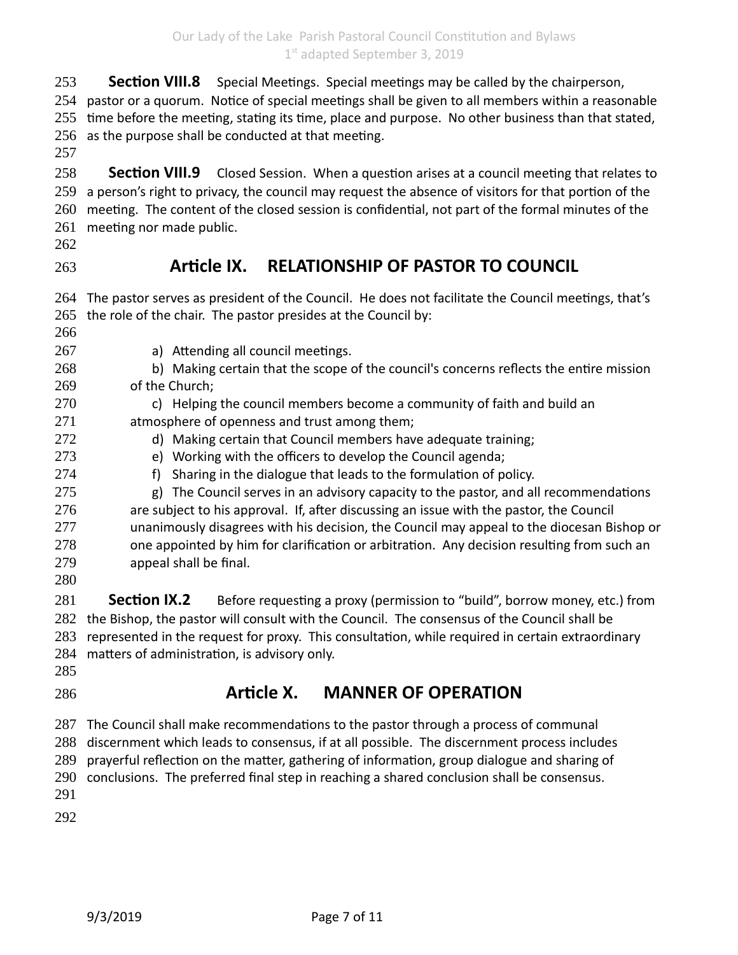**Section VIII.8** Special Meetings. Special meetings may be called by the chairperson, 253

254 pastor or a quorum. Notice of special meetings shall be given to all members within a reasonable 255 time before the meeting, stating its time, place and purpose. No other business than that stated, 256 as the purpose shall be conducted at that meeting.

257

**Section VIII.9** Closed Session. When a question arises at a council meeting that relates to 259 a person's right to privacy, the council may request the absence of visitors for that portion of the 260 meeting. The content of the closed session is confidential, not part of the formal minutes of the 261 meeting nor made public. 258

- 262
- 263

## **Article IX. RELATIONSHIP OF PASTOR TO COUNCIL**

| 264 | The pastor serves as president of the Council. He does not facilitate the Council meetings, that's |  |  |
|-----|----------------------------------------------------------------------------------------------------|--|--|
| 265 | the role of the chair. The pastor presides at the Council by:                                      |  |  |
| 266 |                                                                                                    |  |  |
| 267 | a) Attending all council meetings.                                                                 |  |  |
| 268 | b) Making certain that the scope of the council's concerns reflects the entire mission             |  |  |
| 269 | of the Church;                                                                                     |  |  |
| 270 | c) Helping the council members become a community of faith and build an                            |  |  |
| 271 | atmosphere of openness and trust among them;                                                       |  |  |
| 272 | d) Making certain that Council members have adequate training;                                     |  |  |
| 273 | e) Working with the officers to develop the Council agenda;                                        |  |  |
| 274 | Sharing in the dialogue that leads to the formulation of policy.<br>f                              |  |  |
| 275 | The Council serves in an advisory capacity to the pastor, and all recommendations<br>g)            |  |  |
| 276 | are subject to his approval. If, after discussing an issue with the pastor, the Council            |  |  |
| 277 | unanimously disagrees with his decision, the Council may appeal to the diocesan Bishop or          |  |  |
| 278 | one appointed by him for clarification or arbitration. Any decision resulting from such an         |  |  |
| 279 | appeal shall be final.                                                                             |  |  |
| 280 |                                                                                                    |  |  |
| 281 | <b>Section IX.2</b><br>Before requesting a proxy (permission to "build", borrow money, etc.) from  |  |  |
| 282 | the Bishop, the pastor will consult with the Council. The consensus of the Council shall be        |  |  |
| 283 | represented in the request for proxy. This consultation, while required in certain extraordinary   |  |  |
| 284 | matters of administration, is advisory only.                                                       |  |  |
| 285 |                                                                                                    |  |  |
| 286 | Article X.<br><b>MANNER OF OPERATION</b>                                                           |  |  |
| 287 | The Council shall make recommendations to the pastor through a process of communal                 |  |  |
| 288 | discernment which leads to consensus, if at all possible. The discernment process includes         |  |  |
| 289 | prayerful reflection on the matter, gathering of information, group dialogue and sharing of        |  |  |
| 290 | conclusions. The preferred final step in reaching a shared conclusion shall be consensus.          |  |  |
| 291 |                                                                                                    |  |  |
| 292 |                                                                                                    |  |  |
|     |                                                                                                    |  |  |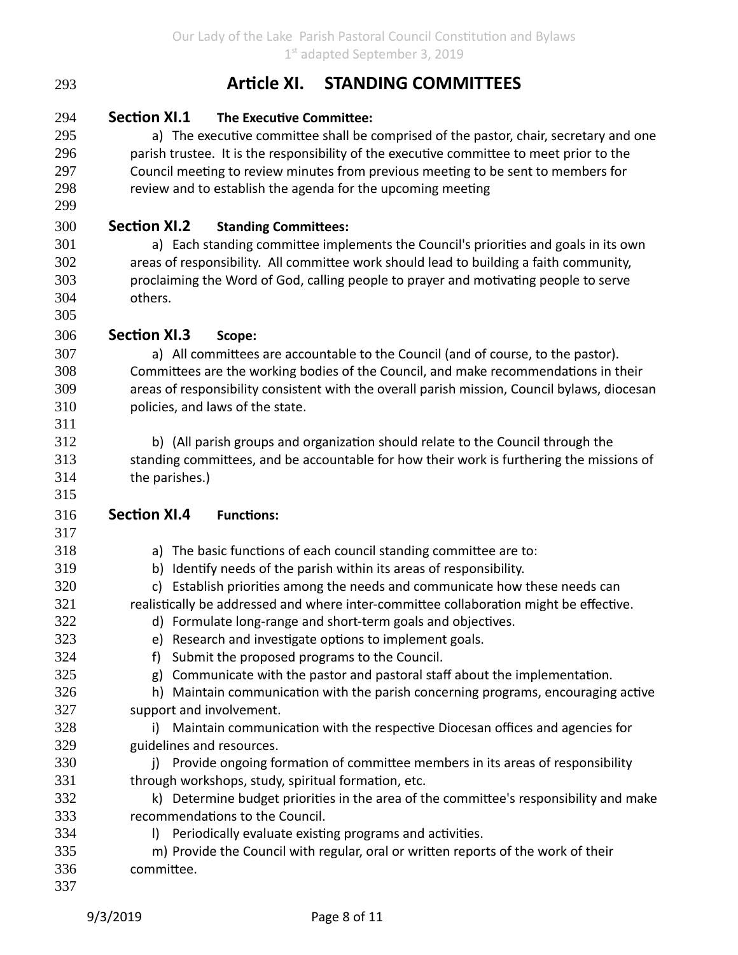| Article XI. |  | <b>STANDING COMMITTEES</b> |
|-------------|--|----------------------------|
|-------------|--|----------------------------|

**Section XI.1 The Executive Committee:** 294

a) The executive committee shall be comprised of the pastor, chair, secretary and one parish trustee. It is the responsibility of the executive committee to meet prior to the Council meeting to review minutes from previous meeting to be sent to members for review and to establish the agenda for the upcoming meeting

**Section XI.2 Standing Committees:** 300

> a) Each standing committee implements the Council's priorities and goals in its own areas of responsibility. All committee work should lead to building a faith community, proclaiming the Word of God, calling people to prayer and motivating people to serve others.

**Section XI.3 Scope:** 306

293

a) All committees are accountable to the Council (and of course, to the pastor). Committees are the working bodies of the Council, and make recommendations in their areas of responsibility consistent with the overall parish mission, Council bylaws, diocesan policies, and laws of the state.

b) (All parish groups and organization should relate to the Council through the standing committees, and be accountable for how their work is furthering the missions of the parishes.)

- **Section XI.4 Functions:** 316
	- a) The basic functions of each council standing committee are to:
	- b) Identify needs of the parish within its areas of responsibility.
	- c) Establish priorities among the needs and communicate how these needs can

realistically be addressed and where inter-committee collaboration might be effective.

- d) Formulate long-range and short-term goals and objectives.
- e) Research and investigate options to implement goals.
- f) Submit the proposed programs to the Council.
- g) Communicate with the pastor and pastoral staff about the implementation.
- h) Maintain communication with the parish concerning programs, encouraging active support and involvement.
- i) Maintain communication with the respective Diocesan offices and agencies for guidelines and resources. 328 329
	- j) Provide ongoing formation of committee members in its areas of responsibility through workshops, study, spiritual formation, etc.
- k) Determine budget priorities in the area of the committee's responsibility and make recommendations to the Council. 332 333
	- l) Periodically evaluate existing programs and activities.
- m) Provide the Council with regular, oral or written reports of the work of their committee. 335 336
- 337

330 331

334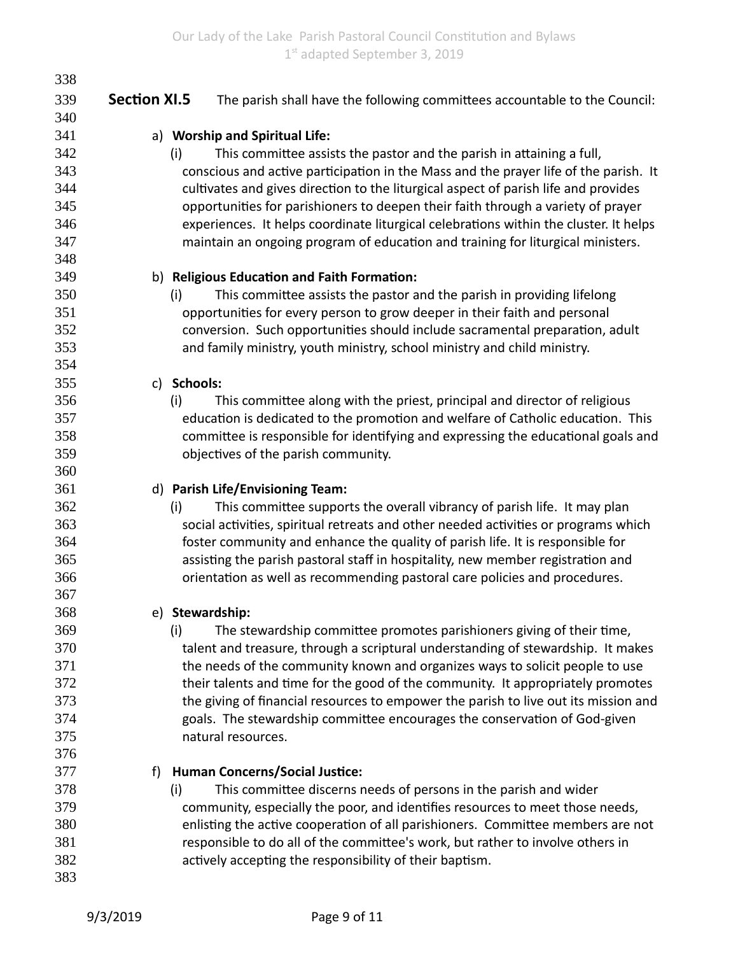| 338 |                     |                                                                                       |
|-----|---------------------|---------------------------------------------------------------------------------------|
| 339 | <b>Section XI.5</b> | The parish shall have the following committees accountable to the Council:            |
| 340 |                     |                                                                                       |
| 341 |                     | a) Worship and Spiritual Life:                                                        |
| 342 |                     | This committee assists the pastor and the parish in attaining a full,<br>(i)          |
| 343 |                     | conscious and active participation in the Mass and the prayer life of the parish. It  |
| 344 |                     | cultivates and gives direction to the liturgical aspect of parish life and provides   |
| 345 |                     | opportunities for parishioners to deepen their faith through a variety of prayer      |
| 346 |                     | experiences. It helps coordinate liturgical celebrations within the cluster. It helps |
| 347 |                     | maintain an ongoing program of education and training for liturgical ministers.       |
| 348 |                     |                                                                                       |
| 349 |                     | b) Religious Education and Faith Formation:                                           |
| 350 |                     | This committee assists the pastor and the parish in providing lifelong<br>(i)         |
| 351 |                     | opportunities for every person to grow deeper in their faith and personal             |
| 352 |                     | conversion. Such opportunities should include sacramental preparation, adult          |
| 353 |                     | and family ministry, youth ministry, school ministry and child ministry.              |
| 354 |                     |                                                                                       |
| 355 |                     | c) Schools:                                                                           |
| 356 |                     | This committee along with the priest, principal and director of religious<br>(i)      |
| 357 |                     | education is dedicated to the promotion and welfare of Catholic education. This       |
| 358 |                     | committee is responsible for identifying and expressing the educational goals and     |
| 359 |                     | objectives of the parish community.                                                   |
| 360 |                     |                                                                                       |
| 361 |                     | d) Parish Life/Envisioning Team:                                                      |
| 362 |                     | This committee supports the overall vibrancy of parish life. It may plan<br>(i)       |
| 363 |                     | social activities, spiritual retreats and other needed activities or programs which   |
| 364 |                     | foster community and enhance the quality of parish life. It is responsible for        |
| 365 |                     | assisting the parish pastoral staff in hospitality, new member registration and       |
| 366 |                     | orientation as well as recommending pastoral care policies and procedures.            |
| 367 |                     |                                                                                       |
| 368 |                     | e) Stewardship:                                                                       |
| 369 |                     | The stewardship committee promotes parishioners giving of their time,<br>(i)          |
| 370 |                     | talent and treasure, through a scriptural understanding of stewardship. It makes      |
| 371 |                     | the needs of the community known and organizes ways to solicit people to use          |
| 372 |                     | their talents and time for the good of the community. It appropriately promotes       |
| 373 |                     | the giving of financial resources to empower the parish to live out its mission and   |
| 374 |                     | goals. The stewardship committee encourages the conservation of God-given             |
| 375 |                     | natural resources.                                                                    |
| 376 |                     |                                                                                       |
| 377 | f)                  | <b>Human Concerns/Social Justice:</b>                                                 |
| 378 |                     | This committee discerns needs of persons in the parish and wider<br>(i)               |
| 379 |                     | community, especially the poor, and identifies resources to meet those needs,         |
| 380 |                     | enlisting the active cooperation of all parishioners. Committee members are not       |
| 381 |                     | responsible to do all of the committee's work, but rather to involve others in        |
| 382 |                     | actively accepting the responsibility of their baptism.                               |
| 383 |                     |                                                                                       |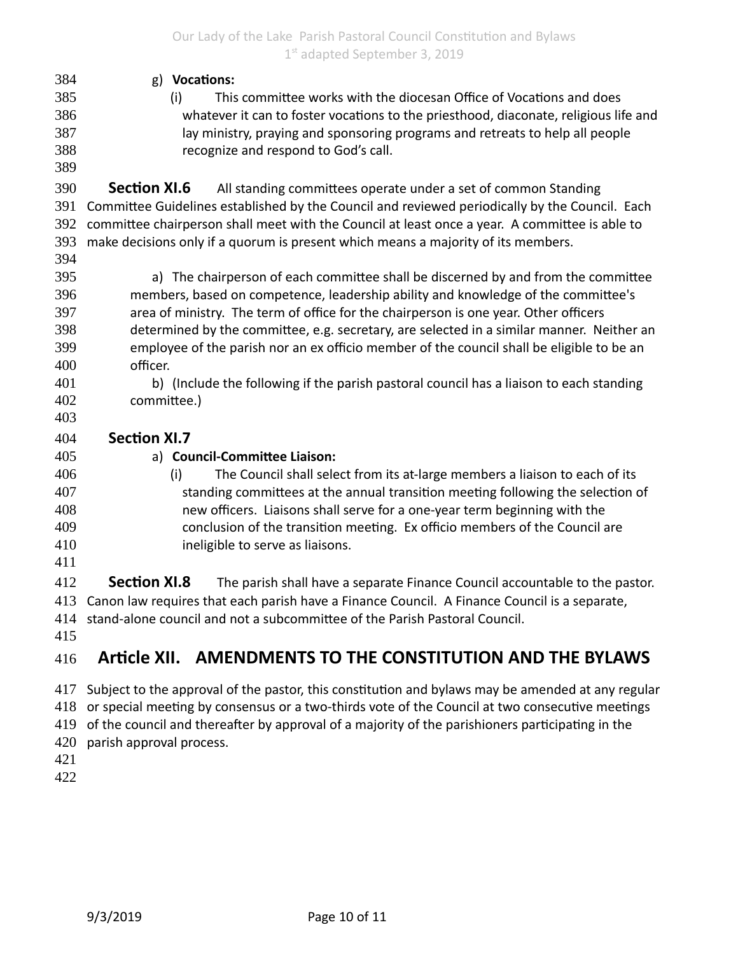| 384<br>385<br>386<br>387<br>388<br>389 | g) Vocations:<br>This committee works with the diocesan Office of Vocations and does<br>(i)<br>whatever it can to foster vocations to the priesthood, diaconate, religious life and<br>lay ministry, praying and sponsoring programs and retreats to help all people<br>recognize and respond to God's call. |  |  |
|----------------------------------------|--------------------------------------------------------------------------------------------------------------------------------------------------------------------------------------------------------------------------------------------------------------------------------------------------------------|--|--|
| 390                                    | <b>Section XI.6</b><br>All standing committees operate under a set of common Standing                                                                                                                                                                                                                        |  |  |
| 391                                    | Committee Guidelines established by the Council and reviewed periodically by the Council. Each                                                                                                                                                                                                               |  |  |
| 392                                    | committee chairperson shall meet with the Council at least once a year. A committee is able to                                                                                                                                                                                                               |  |  |
| 393<br>394                             | make decisions only if a quorum is present which means a majority of its members.                                                                                                                                                                                                                            |  |  |
| 395                                    | a) The chairperson of each committee shall be discerned by and from the committee                                                                                                                                                                                                                            |  |  |
| 396                                    | members, based on competence, leadership ability and knowledge of the committee's                                                                                                                                                                                                                            |  |  |
| 397                                    | area of ministry. The term of office for the chairperson is one year. Other officers                                                                                                                                                                                                                         |  |  |
| 398                                    | determined by the committee, e.g. secretary, are selected in a similar manner. Neither an                                                                                                                                                                                                                    |  |  |
| 399                                    | employee of the parish nor an ex officio member of the council shall be eligible to be an                                                                                                                                                                                                                    |  |  |
| 400                                    | officer.                                                                                                                                                                                                                                                                                                     |  |  |
| 401                                    | b) (Include the following if the parish pastoral council has a liaison to each standing                                                                                                                                                                                                                      |  |  |
| 402                                    | committee.)                                                                                                                                                                                                                                                                                                  |  |  |
| 403                                    |                                                                                                                                                                                                                                                                                                              |  |  |
| 404                                    | <b>Section XI.7</b>                                                                                                                                                                                                                                                                                          |  |  |
| 405                                    | a) Council-Committee Liaison:                                                                                                                                                                                                                                                                                |  |  |
| 406                                    | (i)<br>The Council shall select from its at-large members a liaison to each of its                                                                                                                                                                                                                           |  |  |
| 407                                    | standing committees at the annual transition meeting following the selection of                                                                                                                                                                                                                              |  |  |
| 408                                    | new officers. Liaisons shall serve for a one-year term beginning with the                                                                                                                                                                                                                                    |  |  |
| 409                                    | conclusion of the transition meeting. Ex officio members of the Council are                                                                                                                                                                                                                                  |  |  |
| 410<br>411                             | ineligible to serve as liaisons.                                                                                                                                                                                                                                                                             |  |  |
| 412                                    | <b>Section XI.8</b><br>The parish shall have a separate Finance Council accountable to the pastor.                                                                                                                                                                                                           |  |  |
| 413                                    | Canon law requires that each parish have a Finance Council. A Finance Council is a separate,                                                                                                                                                                                                                 |  |  |
| 414                                    | stand-alone council and not a subcommittee of the Parish Pastoral Council.                                                                                                                                                                                                                                   |  |  |
|                                        |                                                                                                                                                                                                                                                                                                              |  |  |

415

## **Article XII. AMENDMENTS TO THE CONSTITUTION AND THE BYLAWS** 416

417 Subject to the approval of the pastor, this constitution and bylaws may be amended at any regular 418 or special meeting by consensus or a two-thirds vote of the Council at two consecutive meetings 419 of the council and thereafter by approval of a majority of the parishioners participating in the 420 parish approval process.

421

422